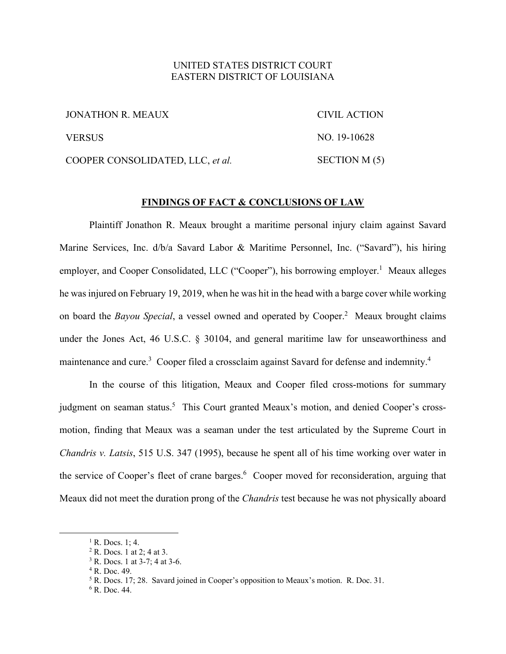## UNITED STATES DISTRICT COURT EASTERN DISTRICT OF LOUISIANA

| JONATHON R. MEAUX                | CIVIL ACTION  |
|----------------------------------|---------------|
| <b>VERSUS</b>                    | NO. 19-10628  |
| COOPER CONSOLIDATED, LLC, et al. | SECTION M (5) |

#### **FINDINGS OF FACT & CONCLUSIONS OF LAW**

 Plaintiff Jonathon R. Meaux brought a maritime personal injury claim against Savard Marine Services, Inc. d/b/a Savard Labor & Maritime Personnel, Inc. ("Savard"), his hiring employer, and Cooper Consolidated, LLC ("Cooper"), his borrowing employer.<sup>1</sup> Meaux alleges he was injured on February 19, 2019, when he was hit in the head with a barge cover while working on board the *Bayou Special*, a vessel owned and operated by Cooper.<sup>2</sup> Meaux brought claims under the Jones Act, 46 U.S.C. § 30104, and general maritime law for unseaworthiness and maintenance and cure.<sup>3</sup> Cooper filed a crossclaim against Savard for defense and indemnity.<sup>4</sup>

 In the course of this litigation, Meaux and Cooper filed cross-motions for summary judgment on seaman status.<sup>5</sup> This Court granted Meaux's motion, and denied Cooper's crossmotion, finding that Meaux was a seaman under the test articulated by the Supreme Court in *Chandris v. Latsis*, 515 U.S. 347 (1995), because he spent all of his time working over water in the service of Cooper's fleet of crane barges.<sup>6</sup> Cooper moved for reconsideration, arguing that Meaux did not meet the duration prong of the *Chandris* test because he was not physically aboard

 $<sup>1</sup>$  R. Docs. 1; 4.</sup>

<sup>&</sup>lt;sup>2</sup> R. Docs. 1 at 2; 4 at 3.

<sup>3</sup> R. Docs. 1 at 3-7; 4 at 3-6.

<sup>4</sup> R. Doc. 49.

 $5$  R. Docs. 17; 28. Savard joined in Cooper's opposition to Meaux's motion. R. Doc. 31.

<sup>6</sup> R. Doc. 44.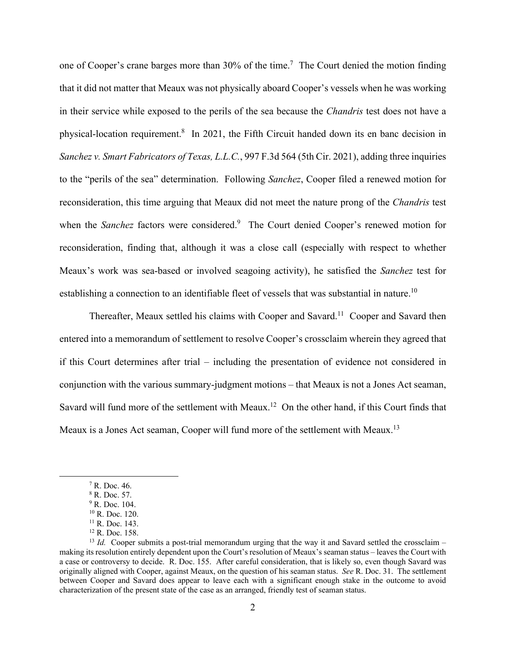one of Cooper's crane barges more than  $30\%$  of the time.<sup>7</sup> The Court denied the motion finding that it did not matter that Meaux was not physically aboard Cooper's vessels when he was working in their service while exposed to the perils of the sea because the *Chandris* test does not have a physical-location requirement.<sup>8</sup> In 2021, the Fifth Circuit handed down its en banc decision in *Sanchez v. Smart Fabricators of Texas, L.L.C.*, 997 F.3d 564 (5th Cir. 2021), adding three inquiries to the "perils of the sea" determination. Following *Sanchez*, Cooper filed a renewed motion for reconsideration, this time arguing that Meaux did not meet the nature prong of the *Chandris* test when the *Sanchez* factors were considered.<sup>9</sup> The Court denied Cooper's renewed motion for reconsideration, finding that, although it was a close call (especially with respect to whether Meaux's work was sea-based or involved seagoing activity), he satisfied the *Sanchez* test for establishing a connection to an identifiable fleet of vessels that was substantial in nature.<sup>10</sup>

Thereafter, Meaux settled his claims with Cooper and Savard.<sup>11</sup> Cooper and Savard then entered into a memorandum of settlement to resolve Cooper's crossclaim wherein they agreed that if this Court determines after trial – including the presentation of evidence not considered in conjunction with the various summary-judgment motions – that Meaux is not a Jones Act seaman, Savard will fund more of the settlement with Meaux.<sup>12</sup> On the other hand, if this Court finds that Meaux is a Jones Act seaman, Cooper will fund more of the settlement with Meaux.<sup>13</sup>

<sup>7</sup> R. Doc. 46.

<sup>8</sup> R. Doc. 57.

<sup>&</sup>lt;sup>9</sup> R. Doc. 104.

<sup>10</sup> R. Doc. 120.  $11$  R. Doc. 143.

<sup>12</sup> R. Doc. 158.

 $13$  *Id.* Cooper submits a post-trial memorandum urging that the way it and Savard settled the crossclaim – making its resolution entirely dependent upon the Court's resolution of Meaux's seaman status – leaves the Court with a case or controversy to decide. R. Doc. 155. After careful consideration, that is likely so, even though Savard was originally aligned with Cooper, against Meaux, on the question of his seaman status. *See* R. Doc. 31. The settlement between Cooper and Savard does appear to leave each with a significant enough stake in the outcome to avoid characterization of the present state of the case as an arranged, friendly test of seaman status.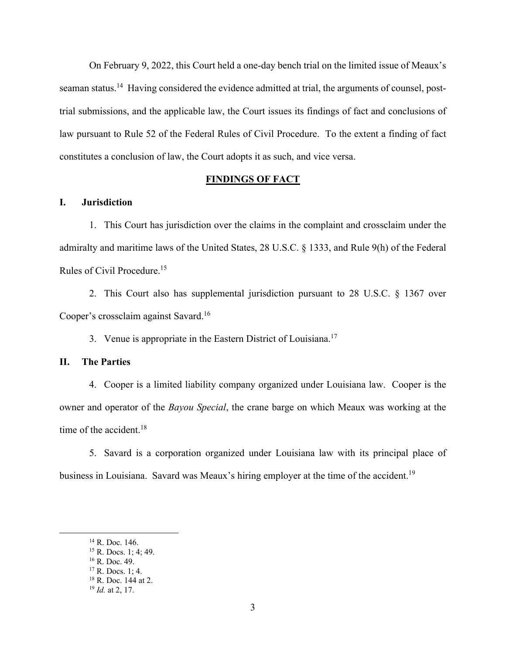On February 9, 2022, this Court held a one-day bench trial on the limited issue of Meaux's seaman status.<sup>14</sup> Having considered the evidence admitted at trial, the arguments of counsel, posttrial submissions, and the applicable law, the Court issues its findings of fact and conclusions of law pursuant to Rule 52 of the Federal Rules of Civil Procedure. To the extent a finding of fact constitutes a conclusion of law, the Court adopts it as such, and vice versa.

### **FINDINGS OF FACT**

## **I. Jurisdiction**

1. This Court has jurisdiction over the claims in the complaint and crossclaim under the admiralty and maritime laws of the United States, 28 U.S.C. § 1333, and Rule 9(h) of the Federal Rules of Civil Procedure.15

2. This Court also has supplemental jurisdiction pursuant to 28 U.S.C. § 1367 over Cooper's crossclaim against Savard.16

3. Venue is appropriate in the Eastern District of Louisiana.<sup>17</sup>

### **II. The Parties**

4. Cooper is a limited liability company organized under Louisiana law. Cooper is the owner and operator of the *Bayou Special*, the crane barge on which Meaux was working at the time of the accident.<sup>18</sup>

5. Savard is a corporation organized under Louisiana law with its principal place of business in Louisiana. Savard was Meaux's hiring employer at the time of the accident.<sup>19</sup>

<sup>&</sup>lt;sup>14</sup> R. Doc. 146.

<sup>15</sup> R. Docs. 1; 4; 49.

<sup>16</sup> R. Doc. 49.

<sup>17</sup> R. Docs. 1; 4.

<sup>18</sup> R. Doc. 144 at 2.

<sup>19</sup> *Id.* at 2, 17.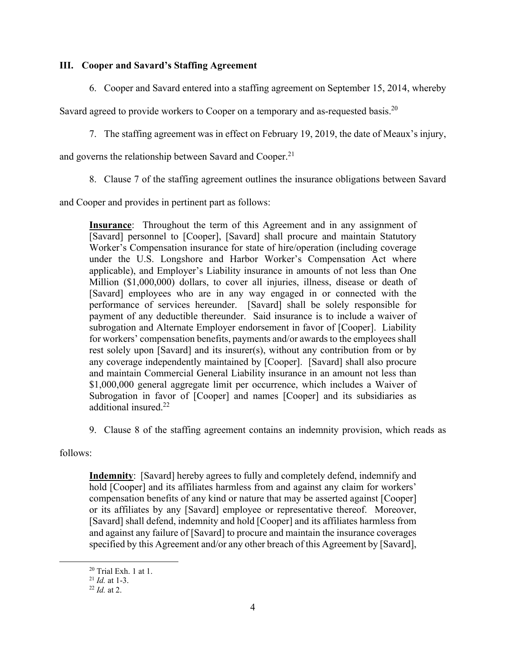## **III. Cooper and Savard's Staffing Agreement**

6. Cooper and Savard entered into a staffing agreement on September 15, 2014, whereby

Savard agreed to provide workers to Cooper on a temporary and as-requested basis.<sup>20</sup>

7. The staffing agreement was in effect on February 19, 2019, the date of Meaux's injury,

and governs the relationship between Savard and Cooper.<sup>21</sup>

8. Clause 7 of the staffing agreement outlines the insurance obligations between Savard

and Cooper and provides in pertinent part as follows:

**Insurance**: Throughout the term of this Agreement and in any assignment of [Savard] personnel to [Cooper], [Savard] shall procure and maintain Statutory Worker's Compensation insurance for state of hire/operation (including coverage under the U.S. Longshore and Harbor Worker's Compensation Act where applicable), and Employer's Liability insurance in amounts of not less than One Million (\$1,000,000) dollars, to cover all injuries, illness, disease or death of [Savard] employees who are in any way engaged in or connected with the performance of services hereunder. [Savard] shall be solely responsible for payment of any deductible thereunder. Said insurance is to include a waiver of subrogation and Alternate Employer endorsement in favor of [Cooper]. Liability for workers' compensation benefits, payments and/or awards to the employees shall rest solely upon [Savard] and its insurer(s), without any contribution from or by any coverage independently maintained by [Cooper]. [Savard] shall also procure and maintain Commercial General Liability insurance in an amount not less than \$1,000,000 general aggregate limit per occurrence, which includes a Waiver of Subrogation in favor of [Cooper] and names [Cooper] and its subsidiaries as additional insured.<sup>22</sup>

9. Clause 8 of the staffing agreement contains an indemnity provision, which reads as

follows:

**Indemnity**: [Savard] hereby agrees to fully and completely defend, indemnify and hold [Cooper] and its affiliates harmless from and against any claim for workers' compensation benefits of any kind or nature that may be asserted against [Cooper] or its affiliates by any [Savard] employee or representative thereof. Moreover, [Savard] shall defend, indemnity and hold [Cooper] and its affiliates harmless from and against any failure of [Savard] to procure and maintain the insurance coverages specified by this Agreement and/or any other breach of this Agreement by [Savard],

<sup>&</sup>lt;sup>20</sup> Trial Exh. 1 at 1.<br><sup>21</sup> *Id* at 1-3.

<sup>&</sup>lt;sup>22</sup> *Id.* at 2.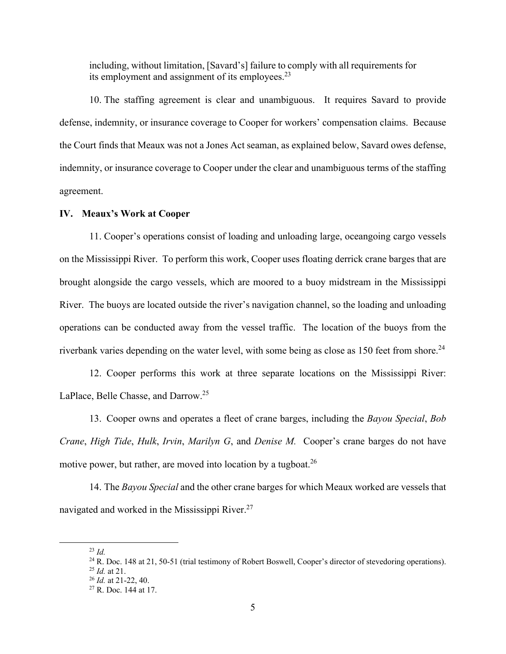including, without limitation, [Savard's] failure to comply with all requirements for its employment and assignment of its employees.<sup>23</sup>

10. The staffing agreement is clear and unambiguous. It requires Savard to provide defense, indemnity, or insurance coverage to Cooper for workers' compensation claims. Because the Court finds that Meaux was not a Jones Act seaman, as explained below, Savard owes defense, indemnity, or insurance coverage to Cooper under the clear and unambiguous terms of the staffing agreement.

### **IV. Meaux's Work at Cooper**

11. Cooper's operations consist of loading and unloading large, oceangoing cargo vessels on the Mississippi River. To perform this work, Cooper uses floating derrick crane barges that are brought alongside the cargo vessels, which are moored to a buoy midstream in the Mississippi River. The buoys are located outside the river's navigation channel, so the loading and unloading operations can be conducted away from the vessel traffic. The location of the buoys from the riverbank varies depending on the water level, with some being as close as 150 feet from shore.<sup>24</sup>

12. Cooper performs this work at three separate locations on the Mississippi River: LaPlace, Belle Chasse, and Darrow.<sup>25</sup>

13. Cooper owns and operates a fleet of crane barges, including the *Bayou Special*, *Bob Crane*, *High Tide*, *Hulk*, *Irvin*, *Marilyn G*, and *Denise M.* Cooper's crane barges do not have motive power, but rather, are moved into location by a tugboat.<sup>26</sup>

14. The *Bayou Special* and the other crane barges for which Meaux worked are vessels that navigated and worked in the Mississippi River.<sup>27</sup>

<sup>23</sup> *Id.*

<sup>&</sup>lt;sup>24</sup> R. Doc. 148 at 21, 50-51 (trial testimony of Robert Boswell, Cooper's director of stevedoring operations).<br><sup>25</sup> *Id.* at 21.

<sup>&</sup>lt;sup>26</sup> *Id.* at 21-22, 40.<br><sup>27</sup> R. Doc. 144 at 17.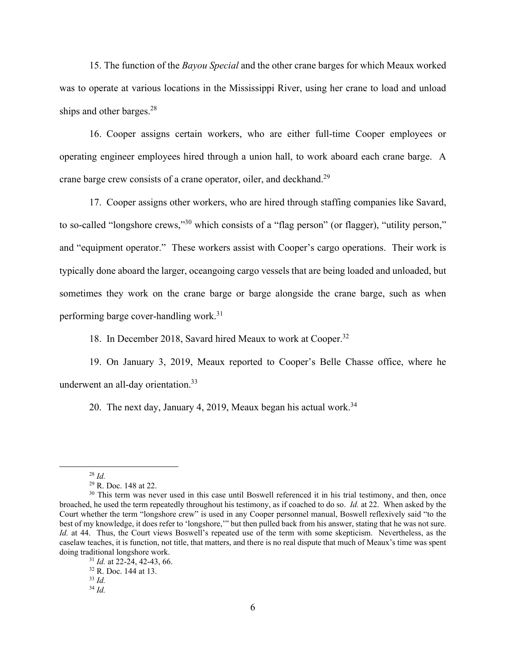15. The function of the *Bayou Special* and the other crane barges for which Meaux worked was to operate at various locations in the Mississippi River, using her crane to load and unload ships and other barges. $28$ 

16. Cooper assigns certain workers, who are either full-time Cooper employees or operating engineer employees hired through a union hall, to work aboard each crane barge. A crane barge crew consists of a crane operator, oiler, and deckhand.<sup>29</sup>

17. Cooper assigns other workers, who are hired through staffing companies like Savard, to so-called "longshore crews,"30 which consists of a "flag person" (or flagger), "utility person," and "equipment operator." These workers assist with Cooper's cargo operations. Their work is typically done aboard the larger, oceangoing cargo vessels that are being loaded and unloaded, but sometimes they work on the crane barge or barge alongside the crane barge, such as when performing barge cover-handling work.31

18. In December 2018, Savard hired Meaux to work at Cooper.<sup>32</sup>

19. On January 3, 2019, Meaux reported to Cooper's Belle Chasse office, where he underwent an all-day orientation.<sup>33</sup>

20. The next day, January 4, 2019, Meaux began his actual work.<sup>34</sup>

<sup>28</sup> *Id.*

<sup>29</sup> R. Doc. 148 at 22.

<sup>&</sup>lt;sup>30</sup> This term was never used in this case until Boswell referenced it in his trial testimony, and then, once broached, he used the term repeatedly throughout his testimony, as if coached to do so. *Id.* at 22. When asked by the Court whether the term "longshore crew" is used in any Cooper personnel manual, Boswell reflexively said "to the best of my knowledge, it does refer to 'longshore,'" but then pulled back from his answer, stating that he was not sure. *Id.* at 44. Thus, the Court views Boswell's repeated use of the term with some skepticism. Nevertheless, as the caselaw teaches, it is function, not title, that matters, and there is no real dispute that much of Meaux's time was spent doing traditional longshore work.<br><sup>31</sup> *Id.* at 22-24, 42-43, 66.<br><sup>32</sup> R. Doc. 144 at 13.

<sup>33</sup> *Id.*

<sup>34</sup> *Id.*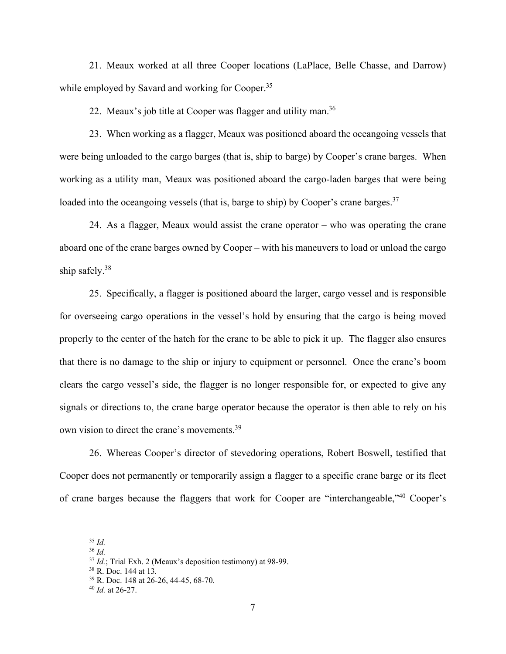21. Meaux worked at all three Cooper locations (LaPlace, Belle Chasse, and Darrow) while employed by Savard and working for Cooper.<sup>35</sup>

22. Meaux's job title at Cooper was flagger and utility man.<sup>36</sup>

23. When working as a flagger, Meaux was positioned aboard the oceangoing vessels that were being unloaded to the cargo barges (that is, ship to barge) by Cooper's crane barges. When working as a utility man, Meaux was positioned aboard the cargo-laden barges that were being loaded into the oceangoing vessels (that is, barge to ship) by Cooper's crane barges.<sup>37</sup>

24. As a flagger, Meaux would assist the crane operator – who was operating the crane aboard one of the crane barges owned by Cooper – with his maneuvers to load or unload the cargo ship safely.38

25. Specifically, a flagger is positioned aboard the larger, cargo vessel and is responsible for overseeing cargo operations in the vessel's hold by ensuring that the cargo is being moved properly to the center of the hatch for the crane to be able to pick it up. The flagger also ensures that there is no damage to the ship or injury to equipment or personnel. Once the crane's boom clears the cargo vessel's side, the flagger is no longer responsible for, or expected to give any signals or directions to, the crane barge operator because the operator is then able to rely on his own vision to direct the crane's movements.39

26. Whereas Cooper's director of stevedoring operations, Robert Boswell, testified that Cooper does not permanently or temporarily assign a flagger to a specific crane barge or its fleet of crane barges because the flaggers that work for Cooper are "interchangeable,"40 Cooper's

<sup>35</sup> *Id.*

<sup>36</sup> *Id.*

<sup>37</sup> *Id.*; Trial Exh. 2 (Meaux's deposition testimony) at 98-99. 38 R. Doc. 144 at 13*.*

<sup>39</sup> R. Doc. 148 at 26-26, 44-45, 68-70.

<sup>40</sup> *Id.* at 26-27.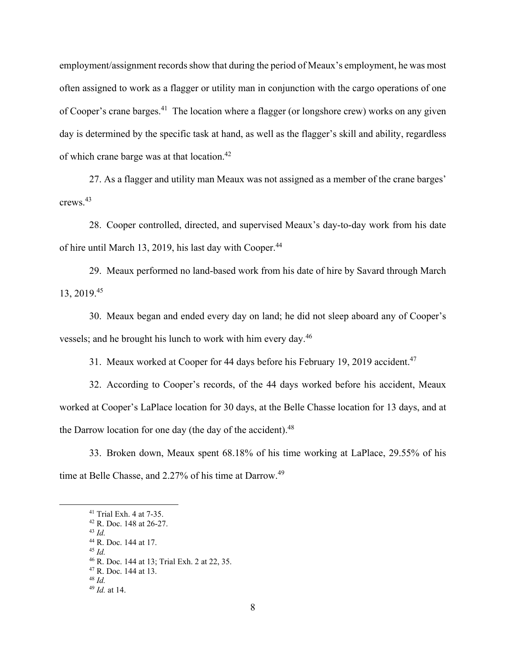employment/assignment records show that during the period of Meaux's employment, he was most often assigned to work as a flagger or utility man in conjunction with the cargo operations of one of Cooper's crane barges.<sup>41</sup> The location where a flagger (or longshore crew) works on any given day is determined by the specific task at hand, as well as the flagger's skill and ability, regardless of which crane barge was at that location.<sup>42</sup>

27. As a flagger and utility man Meaux was not assigned as a member of the crane barges' crews.43

28. Cooper controlled, directed, and supervised Meaux's day-to-day work from his date of hire until March 13, 2019, his last day with Cooper.<sup>44</sup>

29. Meaux performed no land-based work from his date of hire by Savard through March 13, 2019.45

30. Meaux began and ended every day on land; he did not sleep aboard any of Cooper's vessels; and he brought his lunch to work with him every day.<sup>46</sup>

31. Meaux worked at Cooper for 44 days before his February 19, 2019 accident.<sup>47</sup>

32. According to Cooper's records, of the 44 days worked before his accident, Meaux worked at Cooper's LaPlace location for 30 days, at the Belle Chasse location for 13 days, and at the Darrow location for one day (the day of the accident). $48$ 

33. Broken down, Meaux spent 68.18% of his time working at LaPlace, 29.55% of his time at Belle Chasse, and 2.27% of his time at Darrow.<sup>49</sup>

<sup>41</sup> Trial Exh. 4 at 7-35.

<sup>42</sup> R. Doc. 148 at 26-27. <sup>43</sup> *Id.*

<sup>44</sup> R. Doc. 144 at 17.

 $45$  *Id.* 

<sup>46</sup> R. Doc. 144 at 13; Trial Exh. 2 at 22, 35.

<sup>47</sup> R. Doc. 144 at 13.

<sup>48</sup> *Id.*

<sup>49</sup> *Id.* at 14.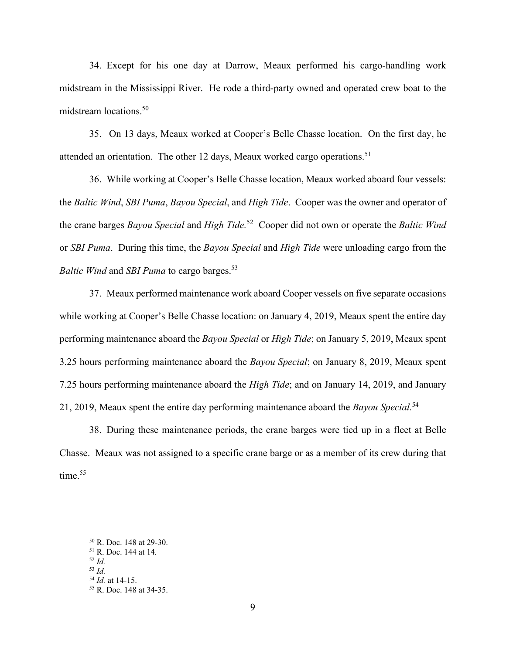34. Except for his one day at Darrow, Meaux performed his cargo-handling work midstream in the Mississippi River. He rode a third-party owned and operated crew boat to the midstream locations.50

35. On 13 days, Meaux worked at Cooper's Belle Chasse location. On the first day, he attended an orientation. The other 12 days, Meaux worked cargo operations.<sup>51</sup>

36. While working at Cooper's Belle Chasse location, Meaux worked aboard four vessels: the *Baltic Wind*, *SBI Puma*, *Bayou Special*, and *High Tide*. Cooper was the owner and operator of the crane barges *Bayou Special* and *High Tide.*52 Cooper did not own or operate the *Baltic Wind* or *SBI Puma*. During this time, the *Bayou Special* and *High Tide* were unloading cargo from the *Baltic Wind* and *SBI Puma* to cargo barges.53

37. Meaux performed maintenance work aboard Cooper vessels on five separate occasions while working at Cooper's Belle Chasse location: on January 4, 2019, Meaux spent the entire day performing maintenance aboard the *Bayou Special* or *High Tide*; on January 5, 2019, Meaux spent 3.25 hours performing maintenance aboard the *Bayou Special*; on January 8, 2019, Meaux spent 7.25 hours performing maintenance aboard the *High Tide*; and on January 14, 2019, and January 21, 2019, Meaux spent the entire day performing maintenance aboard the *Bayou Special.*<sup>54</sup>

38. During these maintenance periods, the crane barges were tied up in a fleet at Belle Chasse. Meaux was not assigned to a specific crane barge or as a member of its crew during that time. $55$ 

<sup>50</sup> R. Doc. 148 at 29-30.

<sup>51</sup> R. Doc. 144 at 14*.*

<sup>52</sup> *Id.*

<sup>&</sup>lt;sup>53</sup> *Id.* <br><sup>54</sup> *Id.* at 14-15.

<sup>&</sup>lt;sup>55</sup> R. Doc. 148 at 34-35.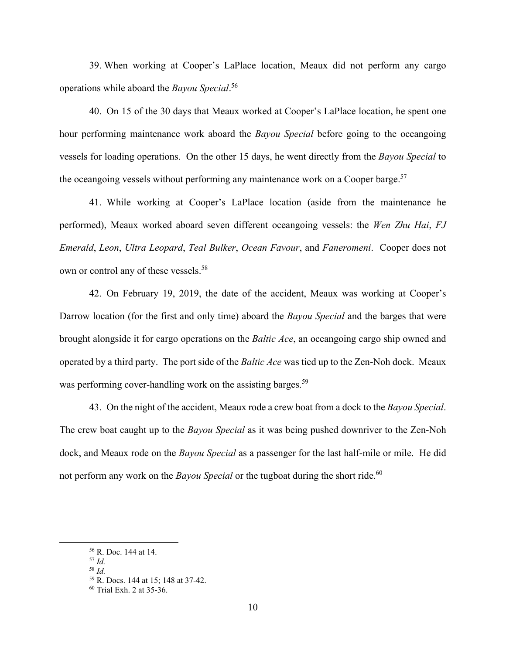39. When working at Cooper's LaPlace location, Meaux did not perform any cargo operations while aboard the *Bayou Special*. 56

40. On 15 of the 30 days that Meaux worked at Cooper's LaPlace location, he spent one hour performing maintenance work aboard the *Bayou Special* before going to the oceangoing vessels for loading operations. On the other 15 days, he went directly from the *Bayou Special* to the oceangoing vessels without performing any maintenance work on a Cooper barge.<sup>57</sup>

41. While working at Cooper's LaPlace location (aside from the maintenance he performed), Meaux worked aboard seven different oceangoing vessels: the *Wen Zhu Hai*, *FJ Emerald*, *Leon*, *Ultra Leopard*, *Teal Bulker*, *Ocean Favour*, and *Faneromeni*. Cooper does not own or control any of these vessels.<sup>58</sup>

42. On February 19, 2019, the date of the accident, Meaux was working at Cooper's Darrow location (for the first and only time) aboard the *Bayou Special* and the barges that were brought alongside it for cargo operations on the *Baltic Ace*, an oceangoing cargo ship owned and operated by a third party. The port side of the *Baltic Ace* was tied up to the Zen-Noh dock. Meaux was performing cover-handling work on the assisting barges.<sup>59</sup>

43. On the night of the accident, Meaux rode a crew boat from a dock to the *Bayou Special*. The crew boat caught up to the *Bayou Special* as it was being pushed downriver to the Zen-Noh dock, and Meaux rode on the *Bayou Special* as a passenger for the last half-mile or mile. He did not perform any work on the *Bayou Special* or the tugboat during the short ride.<sup>60</sup>

<sup>56</sup> R. Doc. 144 at 14.

<sup>57</sup> *Id.*

<sup>58</sup> *Id.*

<sup>59</sup> R. Docs. 144 at 15; 148 at 37-42.

<sup>60</sup> Trial Exh. 2 at 35-36.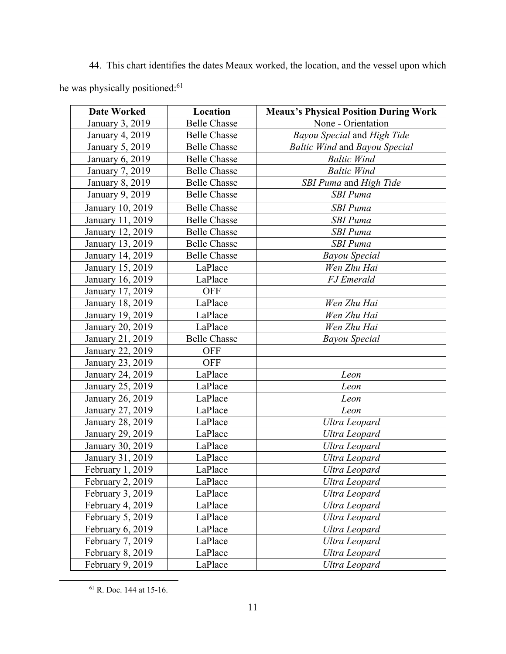44. This chart identifies the dates Meaux worked, the location, and the vessel upon which he was physically positioned:<sup>61</sup>

| <b>Date Worked</b> | Location            | <b>Meaux's Physical Position During Work</b> |  |
|--------------------|---------------------|----------------------------------------------|--|
| January 3, 2019    | <b>Belle Chasse</b> | None - Orientation                           |  |
| January 4, 2019    | <b>Belle Chasse</b> | Bayou Special and High Tide                  |  |
| January 5, 2019    | <b>Belle Chasse</b> | <b>Baltic Wind and Bayou Special</b>         |  |
| January 6, 2019    | <b>Belle Chasse</b> | <b>Baltic Wind</b>                           |  |
| January 7, 2019    | <b>Belle Chasse</b> | <b>Baltic Wind</b>                           |  |
| January 8, 2019    | <b>Belle Chasse</b> | SBI Puma and High Tide                       |  |
| January 9, 2019    | <b>Belle Chasse</b> | <b>SBI</b> Puma                              |  |
| January 10, 2019   | <b>Belle Chasse</b> | <b>SBI</b> Puma                              |  |
| January 11, 2019   | <b>Belle Chasse</b> | <b>SBI</b> Puma                              |  |
| January 12, 2019   | <b>Belle Chasse</b> | <b>SBI</b> Puma                              |  |
| January 13, 2019   | <b>Belle Chasse</b> | <b>SBI</b> Puma                              |  |
| January 14, 2019   | <b>Belle Chasse</b> | <b>Bayou Special</b>                         |  |
| January 15, 2019   | LaPlace             | Wen Zhu Hai                                  |  |
| January 16, 2019   | LaPlace             | <b>FJ</b> Emerald                            |  |
| January 17, 2019   | <b>OFF</b>          |                                              |  |
| January 18, 2019   | LaPlace             | Wen Zhu Hai                                  |  |
| January 19, 2019   | LaPlace             | Wen Zhu Hai                                  |  |
| January 20, 2019   | LaPlace             | Wen Zhu Hai                                  |  |
| January 21, 2019   | <b>Belle Chasse</b> | <b>Bayou Special</b>                         |  |
| January 22, 2019   | <b>OFF</b>          |                                              |  |
| January 23, 2019   | <b>OFF</b>          |                                              |  |
| January 24, 2019   | LaPlace             | Leon                                         |  |
| January 25, 2019   | LaPlace             | Leon                                         |  |
| January 26, 2019   | LaPlace             | Leon                                         |  |
| January 27, 2019   | LaPlace             | Leon                                         |  |
| January 28, 2019   | LaPlace             | Ultra Leopard                                |  |
| January 29, 2019   | LaPlace             | Ultra Leopard                                |  |
| January 30, 2019   | LaPlace             | Ultra Leopard                                |  |
| January 31, 2019   | LaPlace             | Ultra Leopard                                |  |
| February 1, 2019   | LaPlace             | Ultra Leopard                                |  |
| February 2, 2019   | LaPlace             | Ultra Leopard                                |  |
| February 3, 2019   | LaPlace             | Ultra Leopard                                |  |
| February 4, 2019   | LaPlace             | Ultra Leopard                                |  |
| February 5, 2019   | LaPlace             | Ultra Leopard                                |  |
| February 6, 2019   | LaPlace             | Ultra Leopard                                |  |
| February 7, 2019   | LaPlace             | Ultra Leopard                                |  |
| February 8, 2019   | LaPlace             | Ultra Leopard                                |  |
| February 9, 2019   | LaPlace             | Ultra Leopard                                |  |

61 R. Doc. 144 at 15-16.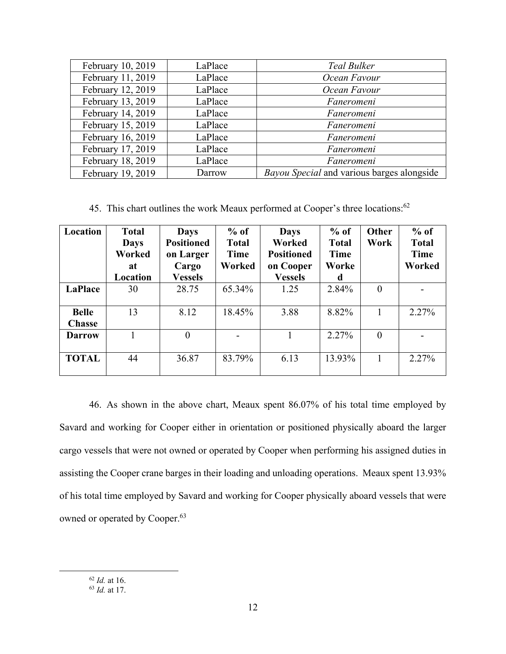| February 10, 2019 | LaPlace | <b>Teal Bulker</b>                         |
|-------------------|---------|--------------------------------------------|
| February 11, 2019 | LaPlace | Ocean Favour                               |
| February 12, 2019 | LaPlace | Ocean Favour                               |
| February 13, 2019 | LaPlace | Faneromeni                                 |
| February 14, 2019 | LaPlace | Faneromeni                                 |
| February 15, 2019 | LaPlace | Faneromeni                                 |
| February 16, 2019 | LaPlace | Faneromeni                                 |
| February 17, 2019 | LaPlace | Faneromeni                                 |
| February 18, 2019 | LaPlace | Faneromeni                                 |
| February 19, 2019 | Darrow  | Bayou Special and various barges alongside |

45. This chart outlines the work Meaux performed at Cooper's three locations:<sup>62</sup>

| Location                      | <b>Total</b><br><b>Days</b><br>Worked<br>at | <b>Days</b><br><b>Positioned</b><br>on Larger<br>Cargo | $%$ of<br><b>Total</b><br>Time<br>Worked | <b>Days</b><br>Worked<br><b>Positioned</b><br>on Cooper | $%$ of<br><b>Total</b><br>Time<br>Worke | <b>Other</b><br>Work | $%$ of<br><b>Total</b><br>Time<br>Worked |
|-------------------------------|---------------------------------------------|--------------------------------------------------------|------------------------------------------|---------------------------------------------------------|-----------------------------------------|----------------------|------------------------------------------|
|                               | Location                                    | <b>Vessels</b>                                         |                                          | <b>Vessels</b>                                          | d                                       |                      |                                          |
| LaPlace                       | 30                                          | 28.75                                                  | 65.34%                                   | 1.25                                                    | 2.84%                                   | $\overline{0}$       |                                          |
| <b>Belle</b><br><b>Chasse</b> | 13                                          | 8.12                                                   | 18.45%                                   | 3.88                                                    | 8.82%                                   | 1                    | 2.27%                                    |
| <b>Darrow</b>                 |                                             | $\theta$                                               |                                          |                                                         | 2.27%                                   | $\boldsymbol{0}$     |                                          |
| <b>TOTAL</b>                  | 44                                          | 36.87                                                  | 83.79%                                   | 6.13                                                    | 13.93%                                  | 1                    | 2.27%                                    |

46. As shown in the above chart, Meaux spent 86.07% of his total time employed by Savard and working for Cooper either in orientation or positioned physically aboard the larger cargo vessels that were not owned or operated by Cooper when performing his assigned duties in assisting the Cooper crane barges in their loading and unloading operations. Meaux spent 13.93% of his total time employed by Savard and working for Cooper physically aboard vessels that were owned or operated by Cooper.<sup>63</sup>

<sup>62</sup> *Id.* at 16. 63 *Id.* at 17.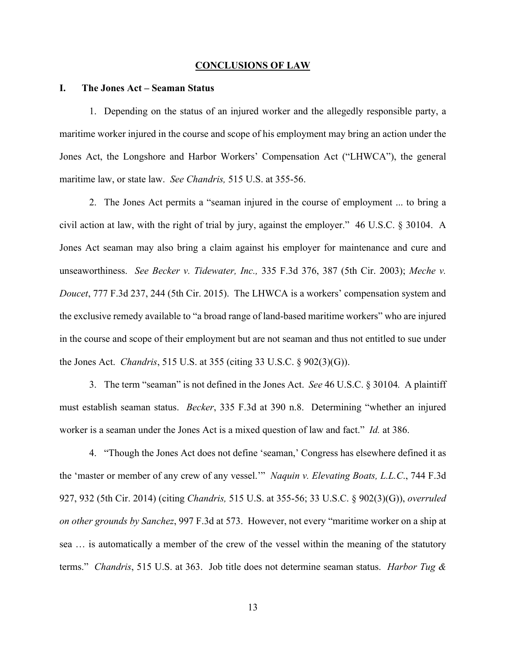#### **CONCLUSIONS OF LAW**

### **I. The Jones Act – Seaman Status**

1. Depending on the status of an injured worker and the allegedly responsible party, a maritime worker injured in the course and scope of his employment may bring an action under the Jones Act, the Longshore and Harbor Workers' Compensation Act ("LHWCA"), the general maritime law, or state law. *See Chandris,* 515 U.S. at 355-56.

2. The Jones Act permits a "seaman injured in the course of employment ... to bring a civil action at law, with the right of trial by jury, against the employer." 46 U.S.C. § 30104. A Jones Act seaman may also bring a claim against his employer for maintenance and cure and unseaworthiness. *See Becker v. Tidewater, Inc.,* 335 F.3d 376, 387 (5th Cir. 2003); *Meche v. Doucet*, 777 F.3d 237, 244 (5th Cir. 2015). The LHWCA is a workers' compensation system and the exclusive remedy available to "a broad range of land-based maritime workers" who are injured in the course and scope of their employment but are not seaman and thus not entitled to sue under the Jones Act. *Chandris*, 515 U.S. at 355 (citing 33 U.S.C. § 902(3)(G)).

3. The term "seaman" is not defined in the Jones Act. *See* 46 U.S.C. § 30104*.* A plaintiff must establish seaman status. *Becker*, 335 F.3d at 390 n.8. Determining "whether an injured worker is a seaman under the Jones Act is a mixed question of law and fact." *Id.* at 386.

4. "Though the Jones Act does not define 'seaman,' Congress has elsewhere defined it as the 'master or member of any crew of any vessel.'" *Naquin v. Elevating Boats, L.L.C*., 744 F.3d 927, 932 (5th Cir. 2014) (citing *Chandris,* 515 U.S. at 355-56; 33 U.S.C. § 902(3)(G)), *overruled on other grounds by Sanchez*, 997 F.3d at 573. However, not every "maritime worker on a ship at sea … is automatically a member of the crew of the vessel within the meaning of the statutory terms." *Chandris*, 515 U.S. at 363. Job title does not determine seaman status. *Harbor Tug &*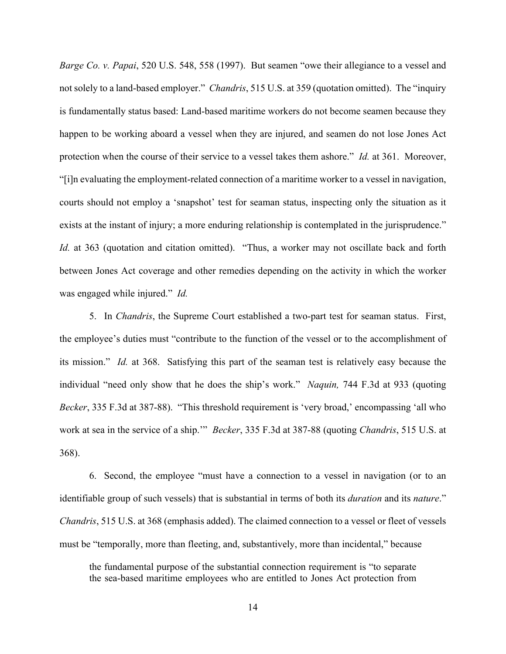*Barge Co. v. Papai*, 520 U.S. 548, 558 (1997). But seamen "owe their allegiance to a vessel and not solely to a land-based employer." *Chandris*, 515 U.S. at 359 (quotation omitted). The "inquiry is fundamentally status based: Land-based maritime workers do not become seamen because they happen to be working aboard a vessel when they are injured, and seamen do not lose Jones Act protection when the course of their service to a vessel takes them ashore." *Id.* at 361. Moreover, "[i]n evaluating the employment-related connection of a maritime worker to a vessel in navigation, courts should not employ a 'snapshot' test for seaman status, inspecting only the situation as it exists at the instant of injury; a more enduring relationship is contemplated in the jurisprudence." *Id.* at 363 (quotation and citation omitted). "Thus, a worker may not oscillate back and forth between Jones Act coverage and other remedies depending on the activity in which the worker was engaged while injured." *Id.*

5. In *Chandris*, the Supreme Court established a two-part test for seaman status. First, the employee's duties must "contribute to the function of the vessel or to the accomplishment of its mission." *Id.* at 368. Satisfying this part of the seaman test is relatively easy because the individual "need only show that he does the ship's work." *Naquin,* 744 F.3d at 933 (quoting *Becker*, 335 F.3d at 387-88). "This threshold requirement is 'very broad,' encompassing 'all who work at sea in the service of a ship.'" *Becker*, 335 F.3d at 387-88 (quoting *Chandris*, 515 U.S. at 368).

6. Second, the employee "must have a connection to a vessel in navigation (or to an identifiable group of such vessels) that is substantial in terms of both its *duration* and its *nature*." *Chandris*, 515 U.S. at 368 (emphasis added). The claimed connection to a vessel or fleet of vessels must be "temporally, more than fleeting, and, substantively, more than incidental," because

the fundamental purpose of the substantial connection requirement is "to separate the sea-based maritime employees who are entitled to Jones Act protection from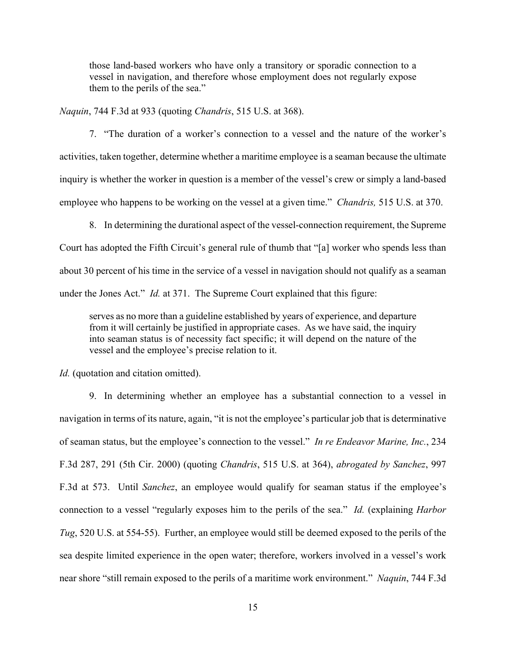those land-based workers who have only a transitory or sporadic connection to a vessel in navigation, and therefore whose employment does not regularly expose them to the perils of the sea."

*Naquin*, 744 F.3d at 933 (quoting *Chandris*, 515 U.S. at 368).

7. "The duration of a worker's connection to a vessel and the nature of the worker's activities, taken together, determine whether a maritime employee is a seaman because the ultimate inquiry is whether the worker in question is a member of the vessel's crew or simply a land-based employee who happens to be working on the vessel at a given time." *Chandris,* 515 U.S. at 370.

8. In determining the durational aspect of the vessel-connection requirement, the Supreme Court has adopted the Fifth Circuit's general rule of thumb that "[a] worker who spends less than about 30 percent of his time in the service of a vessel in navigation should not qualify as a seaman under the Jones Act." *Id.* at 371. The Supreme Court explained that this figure:

serves as no more than a guideline established by years of experience, and departure from it will certainly be justified in appropriate cases. As we have said, the inquiry into seaman status is of necessity fact specific; it will depend on the nature of the vessel and the employee's precise relation to it.

*Id.* (quotation and citation omitted).

9. In determining whether an employee has a substantial connection to a vessel in navigation in terms of its nature, again, "it is not the employee's particular job that is determinative of seaman status, but the employee's connection to the vessel." *In re Endeavor Marine, Inc.*, 234 F.3d 287, 291 (5th Cir. 2000) (quoting *Chandris*, 515 U.S. at 364), *abrogated by Sanchez*, 997 F.3d at 573. Until *Sanchez*, an employee would qualify for seaman status if the employee's connection to a vessel "regularly exposes him to the perils of the sea." *Id.* (explaining *Harbor Tug*, 520 U.S. at 554-55). Further, an employee would still be deemed exposed to the perils of the sea despite limited experience in the open water; therefore, workers involved in a vessel's work near shore "still remain exposed to the perils of a maritime work environment." *Naquin*, 744 F.3d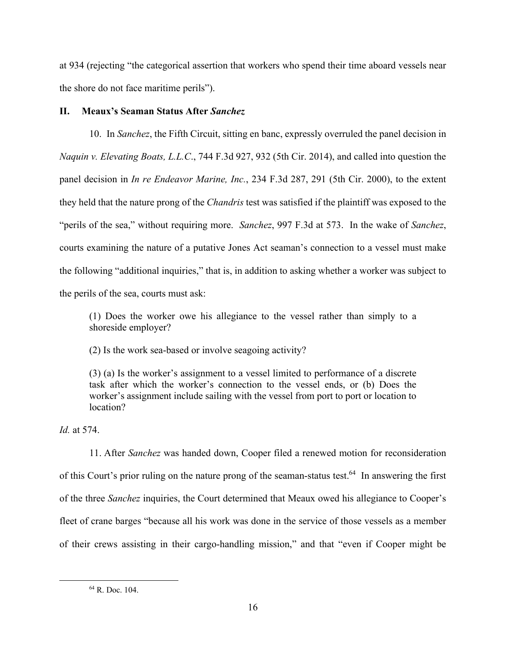at 934 (rejecting "the categorical assertion that workers who spend their time aboard vessels near the shore do not face maritime perils").

# **II. Meaux's Seaman Status After** *Sanchez*

10. In *Sanchez*, the Fifth Circuit, sitting en banc, expressly overruled the panel decision in *Naquin v. Elevating Boats, L.L.C*., 744 F.3d 927, 932 (5th Cir. 2014), and called into question the panel decision in *In re Endeavor Marine, Inc.*, 234 F.3d 287, 291 (5th Cir. 2000), to the extent they held that the nature prong of the *Chandris* test was satisfied if the plaintiff was exposed to the "perils of the sea," without requiring more. *Sanchez*, 997 F.3d at 573. In the wake of *Sanchez*, courts examining the nature of a putative Jones Act seaman's connection to a vessel must make the following "additional inquiries," that is, in addition to asking whether a worker was subject to the perils of the sea, courts must ask:

(1) Does the worker owe his allegiance to the vessel rather than simply to a shoreside employer?

(2) Is the work sea-based or involve seagoing activity?

(3) (a) Is the worker's assignment to a vessel limited to performance of a discrete task after which the worker's connection to the vessel ends, or (b) Does the worker's assignment include sailing with the vessel from port to port or location to location?

*Id.* at 574.

11. After *Sanchez* was handed down, Cooper filed a renewed motion for reconsideration of this Court's prior ruling on the nature prong of the seaman-status test.<sup>64</sup> In answering the first of the three *Sanchez* inquiries, the Court determined that Meaux owed his allegiance to Cooper's fleet of crane barges "because all his work was done in the service of those vessels as a member of their crews assisting in their cargo-handling mission," and that "even if Cooper might be

<sup>64</sup> R. Doc. 104.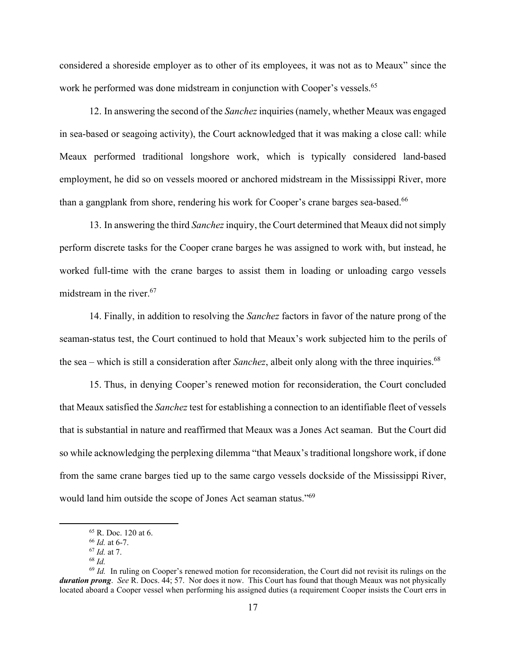considered a shoreside employer as to other of its employees, it was not as to Meaux" since the work he performed was done midstream in conjunction with Cooper's vessels.<sup>65</sup>

12. In answering the second of the *Sanchez* inquiries (namely, whether Meaux was engaged in sea-based or seagoing activity), the Court acknowledged that it was making a close call: while Meaux performed traditional longshore work, which is typically considered land-based employment, he did so on vessels moored or anchored midstream in the Mississippi River, more than a gangplank from shore, rendering his work for Cooper's crane barges sea-based.<sup>66</sup>

13. In answering the third *Sanchez* inquiry, the Court determined that Meaux did not simply perform discrete tasks for the Cooper crane barges he was assigned to work with, but instead, he worked full-time with the crane barges to assist them in loading or unloading cargo vessels midstream in the river.<sup>67</sup>

14. Finally, in addition to resolving the *Sanchez* factors in favor of the nature prong of the seaman-status test, the Court continued to hold that Meaux's work subjected him to the perils of the sea – which is still a consideration after *Sanchez*, albeit only along with the three inquiries.<sup>68</sup>

15. Thus, in denying Cooper's renewed motion for reconsideration, the Court concluded that Meaux satisfied the *Sanchez* test for establishing a connection to an identifiable fleet of vessels that is substantial in nature and reaffirmed that Meaux was a Jones Act seaman. But the Court did so while acknowledging the perplexing dilemma "that Meaux's traditional longshore work, if done from the same crane barges tied up to the same cargo vessels dockside of the Mississippi River, would land him outside the scope of Jones Act seaman status."69

 $65$  R. Doc. 120 at 6.<br> $66$  *Id.* at 6-7.

<sup>&</sup>lt;sup>67</sup> *Id.* at 7.<br><sup>68</sup> *Id.* In ruling on Cooper's renewed motion for reconsideration, the Court did not revisit its rulings on the  $\frac{69}{10}$ . *duration prong*. *See* R. Docs. 44; 57. Nor does it now. This Court has found that though Meaux was not physically located aboard a Cooper vessel when performing his assigned duties (a requirement Cooper insists the Court errs in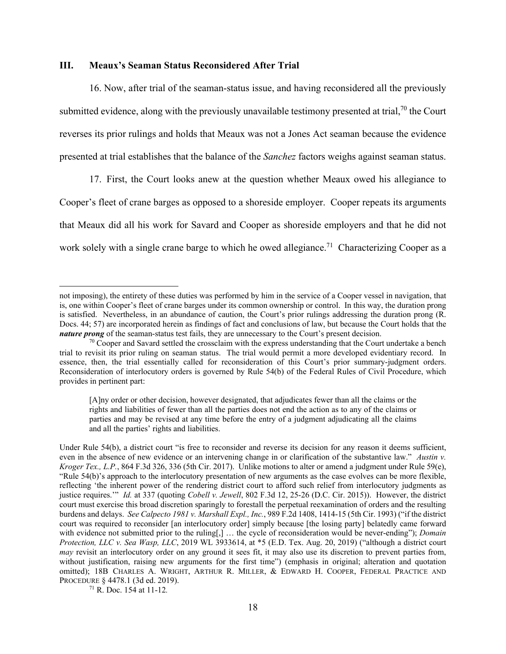### **III. Meaux's Seaman Status Reconsidered After Trial**

16. Now, after trial of the seaman-status issue, and having reconsidered all the previously submitted evidence, along with the previously unavailable testimony presented at trial,  $70$  the Court reverses its prior rulings and holds that Meaux was not a Jones Act seaman because the evidence presented at trial establishes that the balance of the *Sanchez* factors weighs against seaman status.

17. First, the Court looks anew at the question whether Meaux owed his allegiance to Cooper's fleet of crane barges as opposed to a shoreside employer. Cooper repeats its arguments that Meaux did all his work for Savard and Cooper as shoreside employers and that he did not work solely with a single crane barge to which he owed allegiance.<sup>71</sup> Characterizing Cooper as a

not imposing), the entirety of these duties was performed by him in the service of a Cooper vessel in navigation, that is, one within Cooper's fleet of crane barges under its common ownership or control. In this way, the duration prong is satisfied. Nevertheless, in an abundance of caution, the Court's prior rulings addressing the duration prong (R. Docs. 44; 57) are incorporated herein as findings of fact and conclusions of law, but because the Court holds that the *nature prong* of the seaman-status test fails, they are unnecessary to the Court's present decision.<br><sup>70</sup> Cooper and Savard settled the crossclaim with the express understanding that the Court undertake a bench

trial to revisit its prior ruling on seaman status. The trial would permit a more developed evidentiary record. In essence, then, the trial essentially called for reconsideration of this Court's prior summary-judgment orders. Reconsideration of interlocutory orders is governed by Rule 54(b) of the Federal Rules of Civil Procedure, which provides in pertinent part:

<sup>[</sup>A]ny order or other decision, however designated, that adjudicates fewer than all the claims or the rights and liabilities of fewer than all the parties does not end the action as to any of the claims or parties and may be revised at any time before the entry of a judgment adjudicating all the claims and all the parties' rights and liabilities.

Under Rule 54(b), a district court "is free to reconsider and reverse its decision for any reason it deems sufficient, even in the absence of new evidence or an intervening change in or clarification of the substantive law." *Austin v. Kroger Tex., L.P.*, 864 F.3d 326, 336 (5th Cir. 2017). Unlike motions to alter or amend a judgment under Rule 59(e), "Rule 54(b)'s approach to the interlocutory presentation of new arguments as the case evolves can be more flexible, reflecting 'the inherent power of the rendering district court to afford such relief from interlocutory judgments as justice requires.'" *Id.* at 337 (quoting *Cobell v. Jewell*, 802 F.3d 12, 25-26 (D.C. Cir. 2015)). However, the district court must exercise this broad discretion sparingly to forestall the perpetual reexamination of orders and the resulting burdens and delays. *See Calpecto 1981 v. Marshall Expl., Inc.*, 989 F.2d 1408, 1414-15 (5th Cir. 1993) ("if the district court was required to reconsider [an interlocutory order] simply because [the losing party] belatedly came forward with evidence not submitted prior to the ruling[,] … the cycle of reconsideration would be never-ending"); *Domain Protection, LLC v. Sea Wasp, LLC*, 2019 WL 3933614, at \*5 (E.D. Tex. Aug. 20, 2019) ("although a district court *may* revisit an interlocutory order on any ground it sees fit, it may also use its discretion to prevent parties from, without justification, raising new arguments for the first time") (emphasis in original; alteration and quotation omitted); 18B CHARLES A. WRIGHT, ARTHUR R. MILLER, & EDWARD H. COOPER, FEDERAL PRACTICE AND PROCEDURE § 4478.1 (3d ed. 2019). 71 R. Doc. 154 at 11-12*.*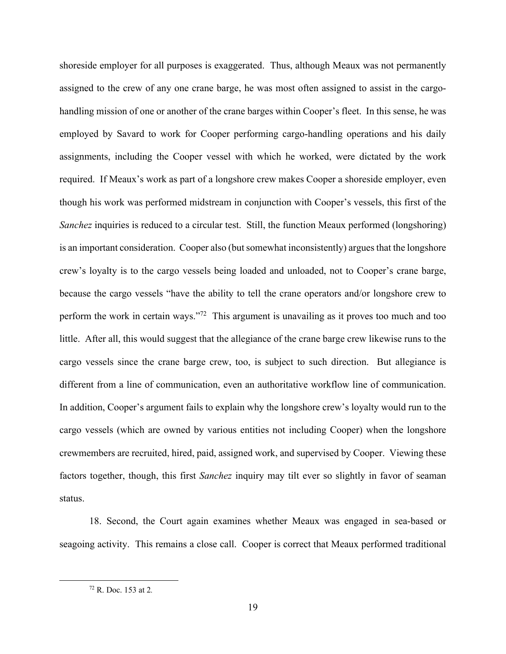shoreside employer for all purposes is exaggerated. Thus, although Meaux was not permanently assigned to the crew of any one crane barge, he was most often assigned to assist in the cargohandling mission of one or another of the crane barges within Cooper's fleet. In this sense, he was employed by Savard to work for Cooper performing cargo-handling operations and his daily assignments, including the Cooper vessel with which he worked, were dictated by the work required. If Meaux's work as part of a longshore crew makes Cooper a shoreside employer, even though his work was performed midstream in conjunction with Cooper's vessels, this first of the *Sanchez* inquiries is reduced to a circular test. Still, the function Meaux performed (longshoring) is an important consideration. Cooper also (but somewhat inconsistently) argues that the longshore crew's loyalty is to the cargo vessels being loaded and unloaded, not to Cooper's crane barge, because the cargo vessels "have the ability to tell the crane operators and/or longshore crew to perform the work in certain ways."<sup>72</sup> This argument is unavailing as it proves too much and too little. After all, this would suggest that the allegiance of the crane barge crew likewise runs to the cargo vessels since the crane barge crew, too, is subject to such direction. But allegiance is different from a line of communication, even an authoritative workflow line of communication. In addition, Cooper's argument fails to explain why the longshore crew's loyalty would run to the cargo vessels (which are owned by various entities not including Cooper) when the longshore crewmembers are recruited, hired, paid, assigned work, and supervised by Cooper. Viewing these factors together, though, this first *Sanchez* inquiry may tilt ever so slightly in favor of seaman status.

18. Second, the Court again examines whether Meaux was engaged in sea-based or seagoing activity. This remains a close call. Cooper is correct that Meaux performed traditional

<sup>72</sup> R. Doc. 153 at 2*.*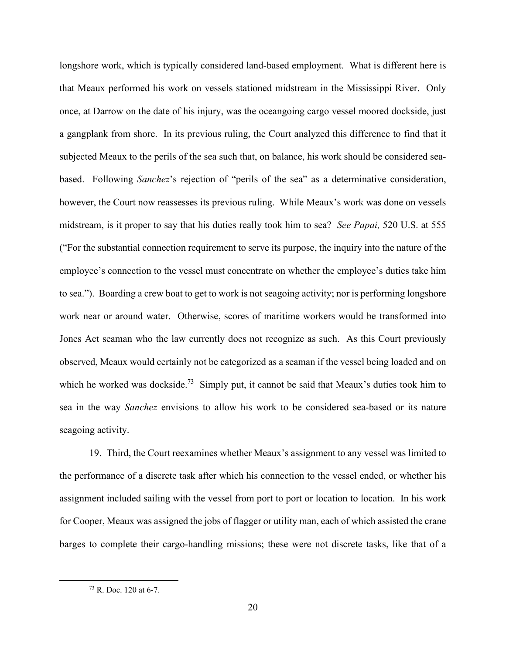longshore work, which is typically considered land-based employment. What is different here is that Meaux performed his work on vessels stationed midstream in the Mississippi River. Only once, at Darrow on the date of his injury, was the oceangoing cargo vessel moored dockside, just a gangplank from shore. In its previous ruling, the Court analyzed this difference to find that it subjected Meaux to the perils of the sea such that, on balance, his work should be considered seabased. Following *Sanchez*'s rejection of "perils of the sea" as a determinative consideration, however, the Court now reassesses its previous ruling. While Meaux's work was done on vessels midstream, is it proper to say that his duties really took him to sea? *See Papai,* 520 U.S. at 555 ("For the substantial connection requirement to serve its purpose, the inquiry into the nature of the employee's connection to the vessel must concentrate on whether the employee's duties take him to sea."). Boarding a crew boat to get to work is not seagoing activity; nor is performing longshore work near or around water. Otherwise, scores of maritime workers would be transformed into Jones Act seaman who the law currently does not recognize as such. As this Court previously observed, Meaux would certainly not be categorized as a seaman if the vessel being loaded and on which he worked was dockside.<sup>73</sup> Simply put, it cannot be said that Meaux's duties took him to sea in the way *Sanchez* envisions to allow his work to be considered sea-based or its nature seagoing activity.

19. Third, the Court reexamines whether Meaux's assignment to any vessel was limited to the performance of a discrete task after which his connection to the vessel ended, or whether his assignment included sailing with the vessel from port to port or location to location. In his work for Cooper, Meaux was assigned the jobs of flagger or utility man, each of which assisted the crane barges to complete their cargo-handling missions; these were not discrete tasks, like that of a

<sup>73</sup> R. Doc. 120 at 6-7*.*